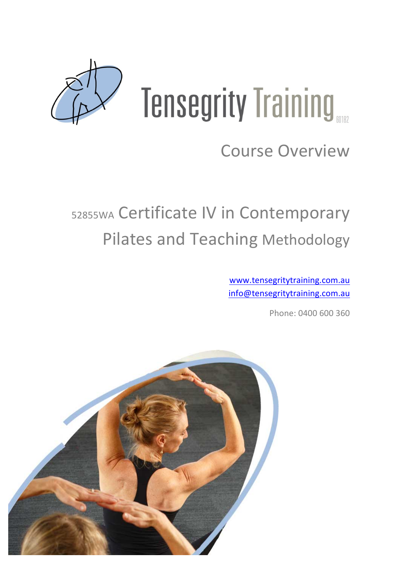

# **Tensegrity Training**

# **Course Overview**

# 52855WA Certificate IV in Contemporary Pilates and Teaching Methodology

www.tensegritytraining.com.au info@tensegritytraining.com.au

Phone: 0400 600 360

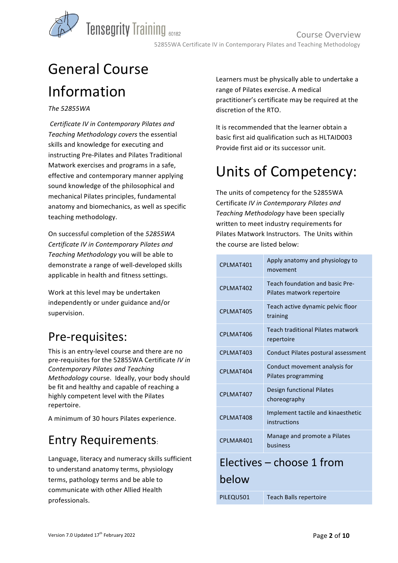

# General Course Information

#### *The 52855WA*

*Certificate IV in Contemporary Pilates and Teaching Methodology covers* the essential skills and knowledge for executing and instructing Pre-Pilates and Pilates Traditional Matwork exercises and programs in a safe, effective and contemporary manner applying sound knowledge of the philosophical and mechanical Pilates principles, fundamental anatomy and biomechanics, as well as specific teaching methodology.

On successful completion of the *52855WA Certificate IV in Contemporary Pilates and Teaching Methodology* you will be able to demonstrate a range of well-developed skills applicable in health and fitness settings.

Work at this level may be undertaken independently or under guidance and/or supervision.

#### Pre-requisites:

This is an entry-level course and there are no pre-requisites for the 52855WA Certificate *IV in Contemporary Pilates and Teaching Methodology* course. Ideally, your body should be fit and healthy and capable of reaching a highly competent level with the Pilates repertoire.

A minimum of 30 hours Pilates experience.

#### Entry Requirements:

Language, literacy and numeracy skills sufficient to understand anatomy terms, physiology terms, pathology terms and be able to communicate with other Allied Health professionals. 

Learners must be physically able to undertake a range of Pilates exercise. A medical practitioner's certificate may be required at the discretion of the RTO.

It is recommended that the learner obtain a basic first aid qualification such as HLTAID003 Provide first aid or its successor unit.

## Units of Competency:

The units of competency for the 52855WA Certificate *IV in Contemporary Pilates and*  **Teaching Methodology have been specially** written to meet industry requirements for Pilates Matwork Instructors. The Units within the course are listed below:

| CPLMAT401                 | Apply anatomy and physiology to<br>movement                   |  |
|---------------------------|---------------------------------------------------------------|--|
| CPLMAT402                 | Teach foundation and basic Pre-<br>Pilates matwork repertoire |  |
| CPLMAT405                 | Teach active dynamic pelvic floor<br>training                 |  |
| CPLMAT406                 | <b>Teach traditional Pilates matwork</b><br>repertoire        |  |
| CPLMAT403                 | Conduct Pilates postural assessment                           |  |
| CPLMAT404                 | Conduct movement analysis for<br>Pilates programming          |  |
| CPLMAT407                 | Design functional Pilates<br>choreography                     |  |
| CPLMAT408                 | Implement tactile and kinaesthetic<br>instructions            |  |
| CPLMAR401                 | Manage and promote a Pilates<br><b>business</b>               |  |
| Electives – choose 1 from |                                                               |  |
| below                     |                                                               |  |
| PILEQU501                 | <b>Teach Balls repertoire</b>                                 |  |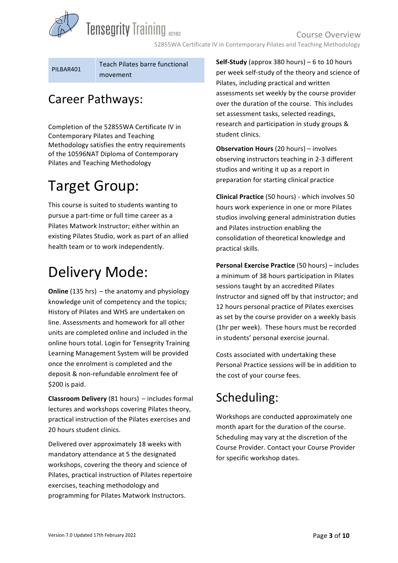**Tensegrity Training 60182** 

Course Overview 52855WA Certificate IV in Contemporary Pilates and Teaching Methodology

PILBAR401

Teach Pilates barre functional movement

#### Career Pathways:

Completion of the 52855WA Certificate IV in Contemporary Pilates and Teaching Methodology satisfies the entry requirements of the 10596NAT Diploma of Contemporary Pilates and Teaching Methodology

## **Target Group:**

This course is suited to students wanting to pursue a part-time or full time career as a Pilates Matwork Instructor: either within an existing Pilates Studio, work as part of an allied health team or to work independently.

## Delivery Mode:

**Online** (135 hrs) – the anatomy and physiology knowledge unit of competency and the topics; History of Pilates and WHS are undertaken on line. Assessments and homework for all other units are completed online and included in the online hours total. Login for Tensegrity Training Learning Management System will be provided once the enrolment is completed and the deposit & non-refundable enrolment fee of  $$200$  is paid.

**Classroom Delivery** (81 hours) – includes formal lectures and workshops covering Pilates theory, practical instruction of the Pilates exercises and 20 hours student clinics.

Delivered over approximately 18 weeks with mandatory attendance at 5 the designated workshops, covering the theory and science of Pilates, practical instruction of Pilates repertoire exercises, teaching methodology and programming for Pilates Matwork Instructors.

**Self-Study** (approx 380 hours) – 6 to 10 hours per week self-study of the theory and science of Pilates, including practical and written assessments set weekly by the course provider over the duration of the course. This includes set assessment tasks, selected readings, research and participation in study groups & student clinics.

**Observation Hours** (20 hours) – involves observing instructors teaching in 2-3 different studios and writing it up as a report in preparation for starting clinical practice

**Clinical Practice** (50 hours) - which involves 50 hours work experience in one or more Pilates studios involving general administration duties and Pilates instruction enabling the consolidation of theoretical knowledge and practical skills.

**Personal Exercise Practice** (50 hours) – includes a minimum of 38 hours participation in Pilates sessions taught by an accredited Pilates Instructor and signed off by that instructor; and 12 hours personal practice of Pilates exercises as set by the course provider on a weekly basis (1hr per week). These hours must be recorded in students' personal exercise journal.

Costs associated with undertaking these Personal Practice sessions will be in addition to the cost of your course fees.

## Scheduling:

Workshops are conducted approximately one month apart for the duration of the course. Scheduling may vary at the discretion of the Course Provider. Contact your Course Provider for specific workshop dates.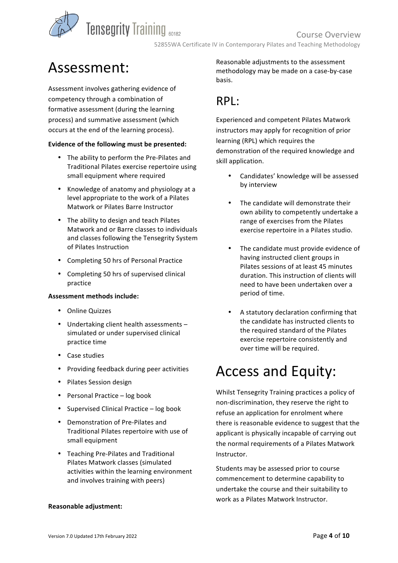**Tensegrity Training 60182** 

## Assessment:

Assessment involves gathering evidence of competency through a combination of formative assessment (during the learning process) and summative assessment (which occurs at the end of the learning process).

#### Evidence of the following must be presented:

- The ability to perform the Pre-Pilates and Traditional Pilates exercise repertoire using small equipment where required
- Knowledge of anatomy and physiology at a level appropriate to the work of a Pilates Matwork or Pilates Barre Instructor
- The ability to design and teach Pilates Matwork and or Barre classes to individuals and classes following the Tensegrity System of Pilates Instruction
- Completing 50 hrs of Personal Practice
- Completing 50 hrs of supervised clinical practice

#### **Assessment methods include:**

- Online Quizzes
- Undertaking client health assessments simulated or under supervised clinical practice time
- Case studies
- Providing feedback during peer activities
- Pilates Session design
- Personal Practice  $-$  log book
- Supervised Clinical Practice log book
- Demonstration of Pre-Pilates and Traditional Pilates repertoire with use of small equipment
- Teaching Pre-Pilates and Traditional Pilates Matwork classes (simulated activities within the learning environment and involves training with peers)

**Reasonable adjustment:**

Reasonable adjustments to the assessment methodology may be made on a case-by-case basis.

#### RPL:

Experienced and competent Pilates Matwork instructors may apply for recognition of prior learning (RPL) which requires the demonstration of the required knowledge and skill application.

- Candidates' knowledge will be assessed by interview
- The candidate will demonstrate their own ability to competently undertake a range of exercises from the Pilates exercise repertoire in a Pilates studio.
- The candidate must provide evidence of having instructed client groups in Pilates sessions of at least 45 minutes duration. This instruction of clients will need to have been undertaken over a period of time.
- A statutory declaration confirming that the candidate has instructed clients to the required standard of the Pilates exercise repertoire consistently and over time will be required.

## Access and Equity:

Whilst Tensegrity Training practices a policy of non-discrimination, they reserve the right to refuse an application for enrolment where there is reasonable evidence to suggest that the applicant is physically incapable of carrying out the normal requirements of a Pilates Matwork Instructor.

Students may be assessed prior to course commencement to determine capability to undertake the course and their suitability to work as a Pilates Matwork Instructor.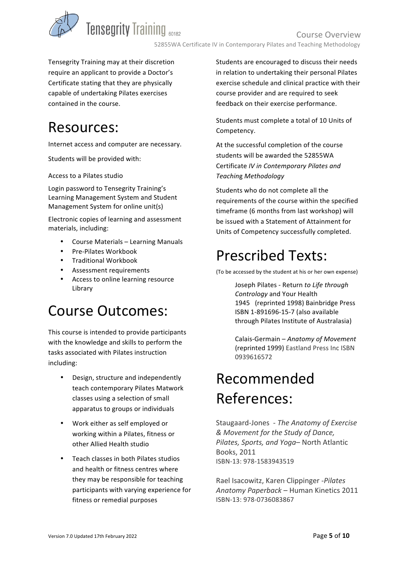

Tensegrity Training may at their discretion require an applicant to provide a Doctor's Certificate stating that they are physically capable of undertaking Pilates exercises contained in the course.

## Resources:

Internet access and computer are necessary.

Students will be provided with:

Access to a Pilates studio

Login password to Tensegrity Training's Learning Management System and Student Management System for online unit(s)

Electronic copies of learning and assessment materials, including:

- Course Materials Learning Manuals
- Pre-Pilates Workbook
- Traditional Workbook
- Assessment requirements
- Access to online learning resource Library

## Course Outcomes:

This course is intended to provide participants with the knowledge and skills to perform the tasks associated with Pilates instruction including: 

- Design, structure and independently teach contemporary Pilates Matwork classes using a selection of small apparatus to groups or individuals
- Work either as self employed or working within a Pilates, fitness or other Allied Health studio
- Teach classes in both Pilates studios and health or fitness centres where they may be responsible for teaching participants with varying experience for fitness or remedial purposes

Students are encouraged to discuss their needs in relation to undertaking their personal Pilates exercise schedule and clinical practice with their course provider and are required to seek feedback on their exercise performance.

Students must complete a total of 10 Units of Competency. 

At the successful completion of the course students will be awarded the 52855WA Certificate *IV in Contemporary Pilates and Teachin*g *Methodology* 

Students who do not complete all the requirements of the course within the specified timeframe (6 months from last workshop) will be issued with a Statement of Attainment for Units of Competency successfully completed.

## Prescribed Texts:

(To be accessed by the student at his or her own expense)

Joseph Pilates - Return to Life through *Contrology* and Your Health 1945 (reprinted 1998) Bainbridge Press ISBN 1-891696-15-7 (also available through Pilates Institute of Australasia)

Calais-Germain – Anatomy of Movement (reprinted 1999) Eastland Press Inc ISBN 0939616572

## Recommended References:

Staugaard-Jones - The Anatomy of Exercise *& Movement for the Study of Dance, Pilates, Sports, and Yoga*– North Atlantic Books, 2011 ISBN-13: 978-1583943519

Rael Isacowitz, Karen Clippinger -Pilates Anatomy Paperback – Human Kinetics 2011 ISBN-13: 978-0736083867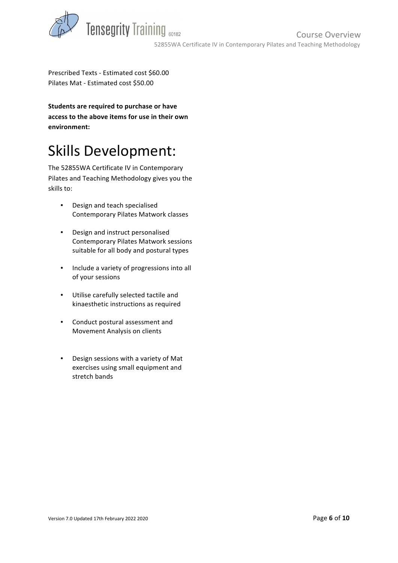

Prescribed Texts - Estimated cost \$60.00 Pilates Mat - Estimated cost \$50.00

**Students are required to purchase or have** access to the above items for use in their own **environment:**

## Skills Development:

The 52855WA Certificate IV in Contemporary Pilates and Teaching Methodology gives you the skills to:

- Design and teach specialised Contemporary Pilates Matwork classes
- Design and instruct personalised Contemporary Pilates Matwork sessions suitable for all body and postural types
- Include a variety of progressions into all of your sessions
- Utilise carefully selected tactile and kinaesthetic instructions as required
- Conduct postural assessment and Movement Analysis on clients
- Design sessions with a variety of Mat exercises using small equipment and stretch bands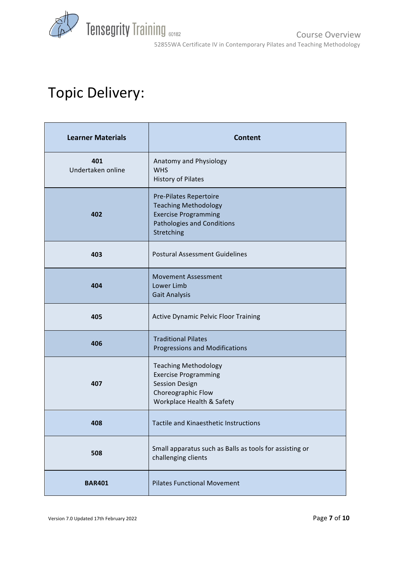

## Topic Delivery:

| <b>Learner Materials</b> | <b>Content</b>                                                                                                                          |
|--------------------------|-----------------------------------------------------------------------------------------------------------------------------------------|
| 401<br>Undertaken online | Anatomy and Physiology<br><b>WHS</b><br><b>History of Pilates</b>                                                                       |
| 402                      | <b>Pre-Pilates Repertoire</b><br><b>Teaching Methodology</b><br><b>Exercise Programming</b><br>Pathologies and Conditions<br>Stretching |
| 403                      | <b>Postural Assessment Guidelines</b>                                                                                                   |
| 404                      | <b>Movement Assessment</b><br>Lower Limb<br><b>Gait Analysis</b>                                                                        |
| 405                      | <b>Active Dynamic Pelvic Floor Training</b>                                                                                             |
| 406                      | <b>Traditional Pilates</b><br>Progressions and Modifications                                                                            |
| 407                      | <b>Teaching Methodology</b><br><b>Exercise Programming</b><br><b>Session Design</b><br>Choreographic Flow<br>Workplace Health & Safety  |
| 408                      | Tactile and Kinaesthetic Instructions                                                                                                   |
| 508                      | Small apparatus such as Balls as tools for assisting or<br>challenging clients                                                          |
| <b>BAR401</b>            | <b>Pilates Functional Movement</b>                                                                                                      |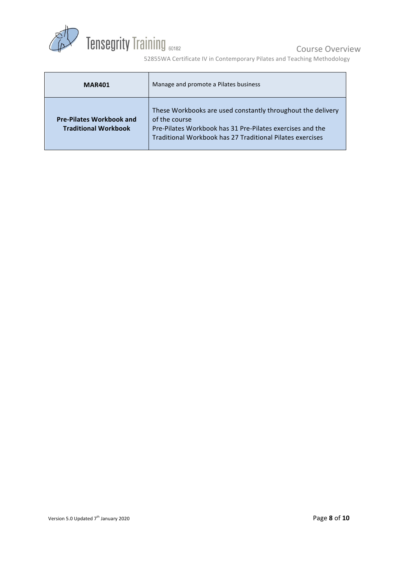

Course Overview

52855WA Certificate IV in Contemporary Pilates and Teaching Methodology

| <b>MAR401</b>                                                  | Manage and promote a Pilates business                                                                                                                                                                  |
|----------------------------------------------------------------|--------------------------------------------------------------------------------------------------------------------------------------------------------------------------------------------------------|
| <b>Pre-Pilates Workbook and</b><br><b>Traditional Workbook</b> | These Workbooks are used constantly throughout the delivery<br>of the course<br>Pre-Pilates Workbook has 31 Pre-Pilates exercises and the<br>Traditional Workbook has 27 Traditional Pilates exercises |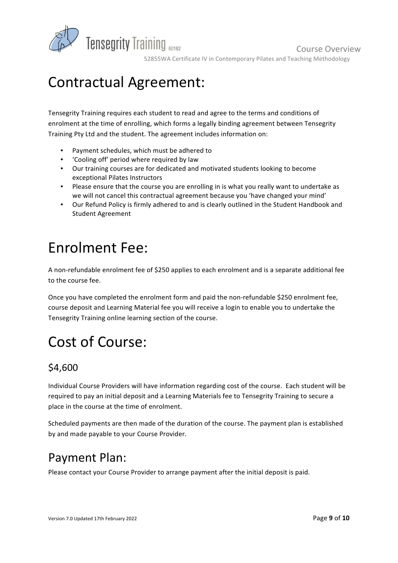

52855WA Certificate IV in Contemporary Pilates and Teaching Methodology

Course Overview 

## Contractual Agreement:

Tensegrity Training requires each student to read and agree to the terms and conditions of enrolment at the time of enrolling, which forms a legally binding agreement between Tensegrity Training Pty Ltd and the student. The agreement includes information on:

- Payment schedules, which must be adhered to
- 'Cooling off' period where required by law
- Our training courses are for dedicated and motivated students looking to become exceptional Pilates Instructors
- Please ensure that the course you are enrolling in is what you really want to undertake as we will not cancel this contractual agreement because you 'have changed your mind'
- Our Refund Policy is firmly adhered to and is clearly outlined in the Student Handbook and Student Agreement

## **Fnrolment Fee:**

A non-refundable enrolment fee of \$250 applies to each enrolment and is a separate additional fee to the course fee. 

Once you have completed the enrolment form and paid the non-refundable \$250 enrolment fee, course deposit and Learning Material fee you will receive a login to enable you to undertake the Tensegrity Training online learning section of the course.

## Cost of Course:

#### \$4,600

Individual Course Providers will have information regarding cost of the course. Each student will be required to pay an initial deposit and a Learning Materials fee to Tensegrity Training to secure a place in the course at the time of enrolment.

Scheduled payments are then made of the duration of the course. The payment plan is established by and made payable to your Course Provider.

#### Payment Plan:

Please contact your Course Provider to arrange payment after the initial deposit is paid.